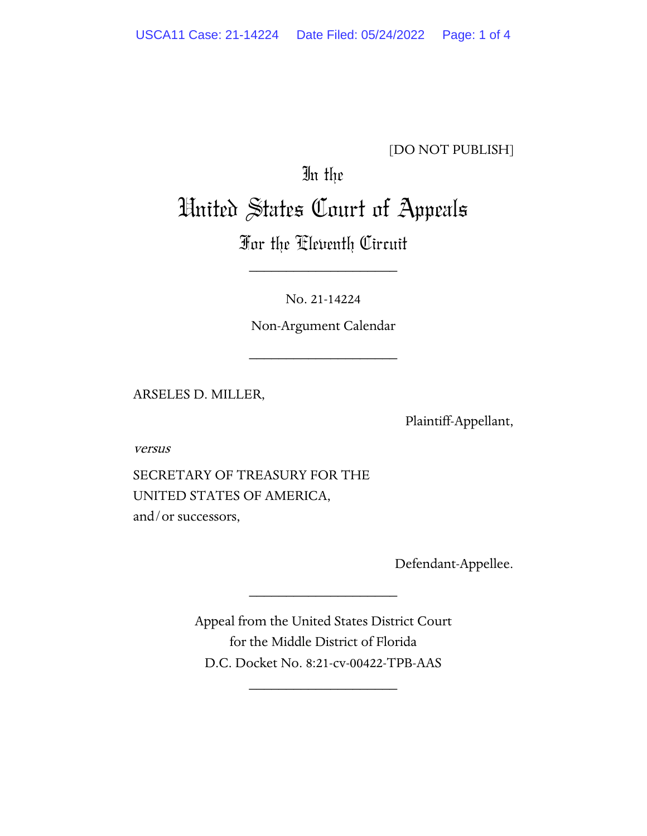## [DO NOT PUBLISH]

## In the United States Court of Appeals

## For the Eleventh Circuit

\_\_\_\_\_\_\_\_\_\_\_\_\_\_\_\_\_\_\_\_

No. 21-14224

Non-Argument Calendar

\_\_\_\_\_\_\_\_\_\_\_\_\_\_\_\_\_\_\_\_

ARSELES D. MILLER,

Plaintiff-Appellant,

versus

SECRETARY OF TREASURY FOR THE UNITED STATES OF AMERICA, and/or successors,

Defendant-Appellee.

Appeal from the United States District Court for the Middle District of Florida D.C. Docket No. 8:21-cv-00422-TPB-AAS

\_\_\_\_\_\_\_\_\_\_\_\_\_\_\_\_\_\_\_\_

\_\_\_\_\_\_\_\_\_\_\_\_\_\_\_\_\_\_\_\_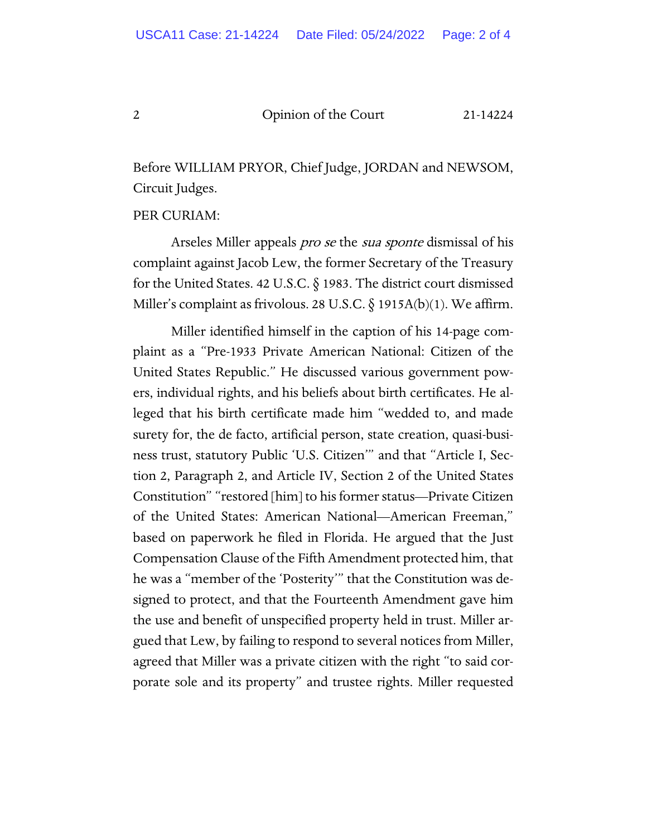## 2 Opinion of the Court 21-14224

Before WILLIAM PRYOR, Chief Judge, JORDAN and NEWSOM, Circuit Judges.

PER CURIAM:

Arseles Miller appeals *pro se* the *sua sponte* dismissal of his complaint against Jacob Lew, the former Secretary of the Treasury for the United States. 42 U.S.C. § 1983. The district court dismissed Miller's complaint as frivolous. 28 U.S.C.  $\S$  1915A(b)(1). We affirm.

Miller identified himself in the caption of his 14-page complaint as a "Pre-1933 Private American National: Citizen of the United States Republic." He discussed various government powers, individual rights, and his beliefs about birth certificates. He alleged that his birth certificate made him "wedded to, and made surety for, the de facto, artificial person, state creation, quasi-business trust, statutory Public 'U.S. Citizen'" and that "Article I, Section 2, Paragraph 2, and Article IV, Section 2 of the United States Constitution" "restored [him] to his former status—Private Citizen of the United States: American National—American Freeman," based on paperwork he filed in Florida. He argued that the Just Compensation Clause of the Fifth Amendment protected him, that he was a "member of the 'Posterity'" that the Constitution was designed to protect, and that the Fourteenth Amendment gave him the use and benefit of unspecified property held in trust. Miller argued that Lew, by failing to respond to several notices from Miller, agreed that Miller was a private citizen with the right "to said corporate sole and its property" and trustee rights. Miller requested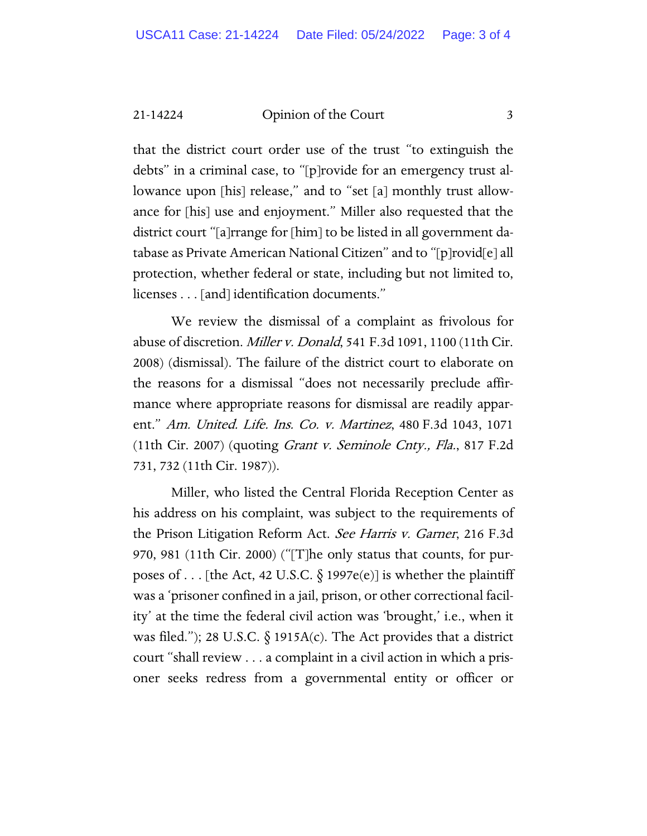21-14224 Opinion of the Court 3

that the district court order use of the trust "to extinguish the debts" in a criminal case, to "[p]rovide for an emergency trust allowance upon [his] release," and to "set [a] monthly trust allowance for [his] use and enjoyment." Miller also requested that the district court "[a]rrange for [him] to be listed in all government database as Private American National Citizen" and to "[p]rovid[e] all protection, whether federal or state, including but not limited to, licenses . . . [and] identification documents."

We review the dismissal of a complaint as frivolous for abuse of discretion. Miller v. Donald, 541 F.3d 1091, 1100 (11th Cir. 2008) (dismissal). The failure of the district court to elaborate on the reasons for a dismissal "does not necessarily preclude affirmance where appropriate reasons for dismissal are readily apparent." Am. United. Life. Ins. Co. v. Martinez, 480 F.3d 1043, 1071 (11th Cir. 2007) (quoting Grant v. Seminole Cnty., Fla., 817 F.2d 731, 732 (11th Cir. 1987)).

Miller, who listed the Central Florida Reception Center as his address on his complaint, was subject to the requirements of the Prison Litigation Reform Act. See Harris v. Garner, 216 F.3d 970, 981 (11th Cir. 2000) ("[T]he only status that counts, for purposes of . . . [the Act, 42 U.S.C.  $\S$  1997e(e)] is whether the plaintiff was a 'prisoner confined in a jail, prison, or other correctional facility' at the time the federal civil action was 'brought,' i.e., when it was filed."); 28 U.S.C.  $\S$  1915A(c). The Act provides that a district court "shall review . . . a complaint in a civil action in which a prisoner seeks redress from a governmental entity or officer or